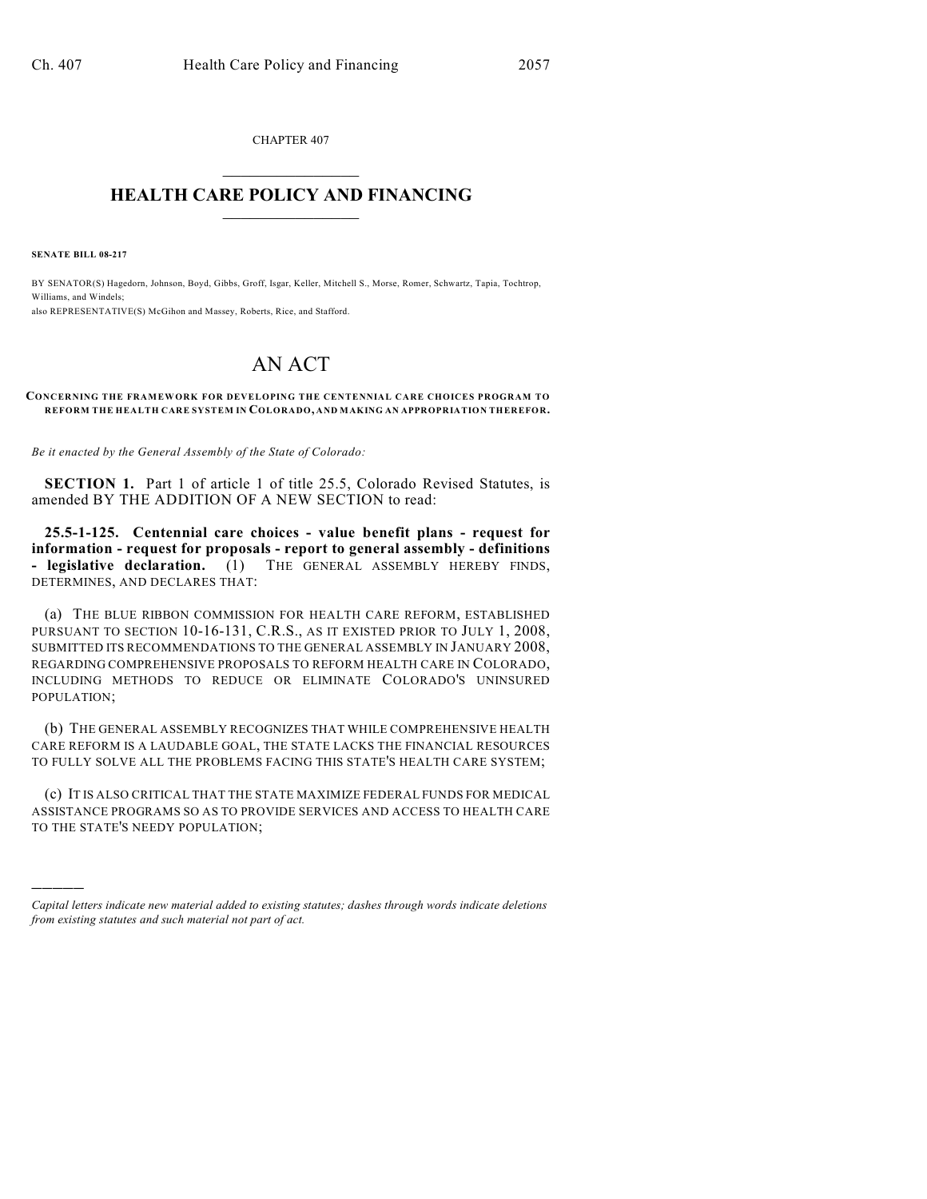CHAPTER 407  $\overline{\phantom{a}}$  . The set of the set of the set of the set of the set of the set of the set of the set of the set of the set of the set of the set of the set of the set of the set of the set of the set of the set of the set o

## **HEALTH CARE POLICY AND FINANCING**  $\_$   $\_$   $\_$   $\_$   $\_$   $\_$   $\_$   $\_$

**SENATE BILL 08-217**

)))))

BY SENATOR(S) Hagedorn, Johnson, Boyd, Gibbs, Groff, Isgar, Keller, Mitchell S., Morse, Romer, Schwartz, Tapia, Tochtrop, Williams, and Windels; also REPRESENTATIVE(S) McGihon and Massey, Roberts, Rice, and Stafford.

## AN ACT

## **CONCERNING THE FRAMEWORK FOR DEVELOPING THE CENTENNIAL CARE CHOICES PROGRAM TO REFORM THE HEALTH CARE SYSTEM IN COLORADO, AND MAKING AN APPROPRIATION THEREFOR.**

*Be it enacted by the General Assembly of the State of Colorado:*

**SECTION 1.** Part 1 of article 1 of title 25.5, Colorado Revised Statutes, is amended BY THE ADDITION OF A NEW SECTION to read:

**25.5-1-125. Centennial care choices - value benefit plans - request for information - request for proposals - report to general assembly - definitions - legislative declaration.** (1) THE GENERAL ASSEMBLY HEREBY FINDS, DETERMINES, AND DECLARES THAT:

(a) THE BLUE RIBBON COMMISSION FOR HEALTH CARE REFORM, ESTABLISHED PURSUANT TO SECTION 10-16-131, C.R.S., AS IT EXISTED PRIOR TO JULY 1, 2008, SUBMITTED ITS RECOMMENDATIONS TO THE GENERAL ASSEMBLY IN JANUARY 2008, REGARDING COMPREHENSIVE PROPOSALS TO REFORM HEALTH CARE IN COLORADO, INCLUDING METHODS TO REDUCE OR ELIMINATE COLORADO'S UNINSURED POPULATION;

(b) THE GENERAL ASSEMBLY RECOGNIZES THAT WHILE COMPREHENSIVE HEALTH CARE REFORM IS A LAUDABLE GOAL, THE STATE LACKS THE FINANCIAL RESOURCES TO FULLY SOLVE ALL THE PROBLEMS FACING THIS STATE'S HEALTH CARE SYSTEM;

(c) IT IS ALSO CRITICAL THAT THE STATE MAXIMIZE FEDERAL FUNDS FOR MEDICAL ASSISTANCE PROGRAMS SO AS TO PROVIDE SERVICES AND ACCESS TO HEALTH CARE TO THE STATE'S NEEDY POPULATION;

*Capital letters indicate new material added to existing statutes; dashes through words indicate deletions from existing statutes and such material not part of act.*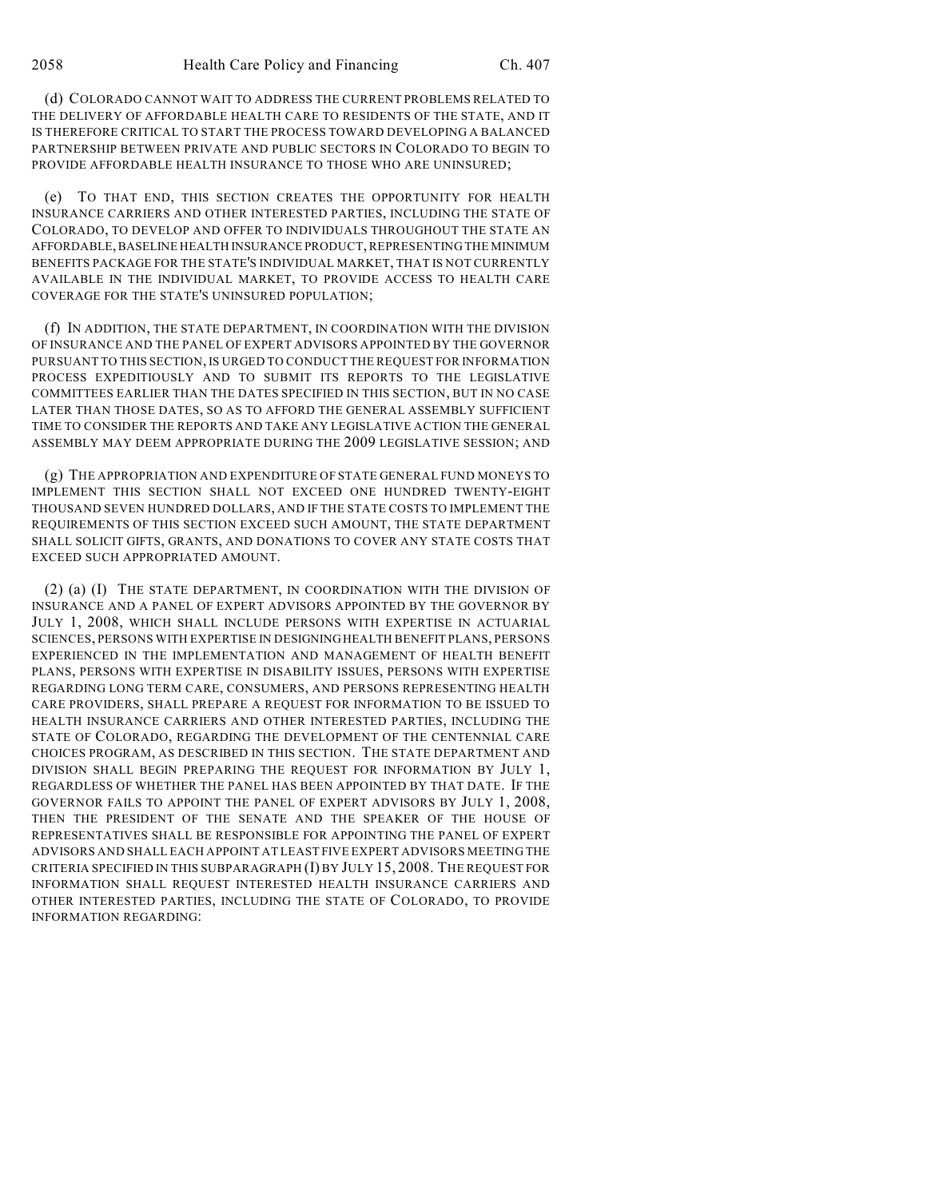(d) COLORADO CANNOT WAIT TO ADDRESS THE CURRENT PROBLEMS RELATED TO THE DELIVERY OF AFFORDABLE HEALTH CARE TO RESIDENTS OF THE STATE, AND IT IS THEREFORE CRITICAL TO START THE PROCESS TOWARD DEVELOPING A BALANCED PARTNERSHIP BETWEEN PRIVATE AND PUBLIC SECTORS IN COLORADO TO BEGIN TO PROVIDE AFFORDABLE HEALTH INSURANCE TO THOSE WHO ARE UNINSURED;

(e) TO THAT END, THIS SECTION CREATES THE OPPORTUNITY FOR HEALTH INSURANCE CARRIERS AND OTHER INTERESTED PARTIES, INCLUDING THE STATE OF COLORADO, TO DEVELOP AND OFFER TO INDIVIDUALS THROUGHOUT THE STATE AN AFFORDABLE, BASELINE HEALTH INSURANCE PRODUCT, REPRESENTING THE MINIMUM BENEFITS PACKAGE FOR THE STATE'S INDIVIDUAL MARKET, THAT IS NOT CURRENTLY AVAILABLE IN THE INDIVIDUAL MARKET, TO PROVIDE ACCESS TO HEALTH CARE COVERAGE FOR THE STATE'S UNINSURED POPULATION;

(f) IN ADDITION, THE STATE DEPARTMENT, IN COORDINATION WITH THE DIVISION OF INSURANCE AND THE PANEL OF EXPERT ADVISORS APPOINTED BY THE GOVERNOR PURSUANT TO THIS SECTION, IS URGED TO CONDUCT THE REQUEST FOR INFORMATION PROCESS EXPEDITIOUSLY AND TO SUBMIT ITS REPORTS TO THE LEGISLATIVE COMMITTEES EARLIER THAN THE DATES SPECIFIED IN THIS SECTION, BUT IN NO CASE LATER THAN THOSE DATES, SO AS TO AFFORD THE GENERAL ASSEMBLY SUFFICIENT TIME TO CONSIDER THE REPORTS AND TAKE ANY LEGISLATIVE ACTION THE GENERAL ASSEMBLY MAY DEEM APPROPRIATE DURING THE 2009 LEGISLATIVE SESSION; AND

(g) THE APPROPRIATION AND EXPENDITURE OF STATE GENERAL FUND MONEYS TO IMPLEMENT THIS SECTION SHALL NOT EXCEED ONE HUNDRED TWENTY-EIGHT THOUSAND SEVEN HUNDRED DOLLARS, AND IF THE STATE COSTS TO IMPLEMENT THE REQUIREMENTS OF THIS SECTION EXCEED SUCH AMOUNT, THE STATE DEPARTMENT SHALL SOLICIT GIFTS, GRANTS, AND DONATIONS TO COVER ANY STATE COSTS THAT EXCEED SUCH APPROPRIATED AMOUNT.

(2) (a) (I) THE STATE DEPARTMENT, IN COORDINATION WITH THE DIVISION OF INSURANCE AND A PANEL OF EXPERT ADVISORS APPOINTED BY THE GOVERNOR BY JULY 1, 2008, WHICH SHALL INCLUDE PERSONS WITH EXPERTISE IN ACTUARIAL SCIENCES, PERSONS WITH EXPERTISE IN DESIGNING HEALTH BENEFIT PLANS, PERSONS EXPERIENCED IN THE IMPLEMENTATION AND MANAGEMENT OF HEALTH BENEFIT PLANS, PERSONS WITH EXPERTISE IN DISABILITY ISSUES, PERSONS WITH EXPERTISE REGARDING LONG TERM CARE, CONSUMERS, AND PERSONS REPRESENTING HEALTH CARE PROVIDERS, SHALL PREPARE A REQUEST FOR INFORMATION TO BE ISSUED TO HEALTH INSURANCE CARRIERS AND OTHER INTERESTED PARTIES, INCLUDING THE STATE OF COLORADO, REGARDING THE DEVELOPMENT OF THE CENTENNIAL CARE CHOICES PROGRAM, AS DESCRIBED IN THIS SECTION. THE STATE DEPARTMENT AND DIVISION SHALL BEGIN PREPARING THE REQUEST FOR INFORMATION BY JULY 1, REGARDLESS OF WHETHER THE PANEL HAS BEEN APPOINTED BY THAT DATE. IF THE GOVERNOR FAILS TO APPOINT THE PANEL OF EXPERT ADVISORS BY JULY 1, 2008, THEN THE PRESIDENT OF THE SENATE AND THE SPEAKER OF THE HOUSE OF REPRESENTATIVES SHALL BE RESPONSIBLE FOR APPOINTING THE PANEL OF EXPERT ADVISORS AND SHALL EACH APPOINT AT LEAST FIVE EXPERT ADVISORS MEETING THE CRITERIA SPECIFIED IN THIS SUBPARAGRAPH (I) BY JULY 15, 2008. THE REQUEST FOR INFORMATION SHALL REQUEST INTERESTED HEALTH INSURANCE CARRIERS AND OTHER INTERESTED PARTIES, INCLUDING THE STATE OF COLORADO, TO PROVIDE INFORMATION REGARDING: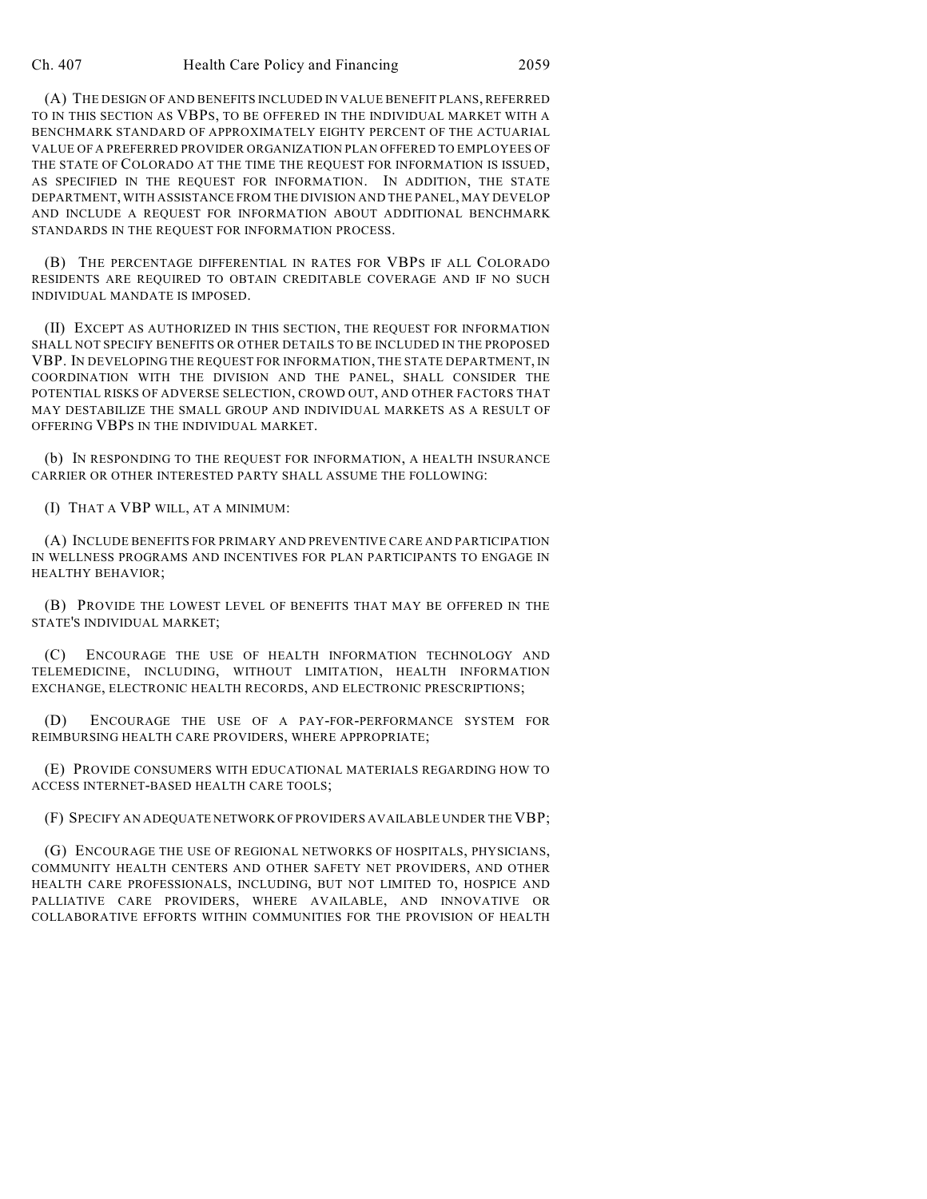(A) THE DESIGN OF AND BENEFITS INCLUDED IN VALUE BENEFIT PLANS, REFERRED TO IN THIS SECTION AS VBPS, TO BE OFFERED IN THE INDIVIDUAL MARKET WITH A BENCHMARK STANDARD OF APPROXIMATELY EIGHTY PERCENT OF THE ACTUARIAL VALUE OF A PREFERRED PROVIDER ORGANIZATION PLAN OFFERED TO EMPLOYEES OF THE STATE OF COLORADO AT THE TIME THE REQUEST FOR INFORMATION IS ISSUED, AS SPECIFIED IN THE REQUEST FOR INFORMATION. IN ADDITION, THE STATE DEPARTMENT, WITH ASSISTANCE FROM THE DIVISION AND THE PANEL, MAY DEVELOP AND INCLUDE A REQUEST FOR INFORMATION ABOUT ADDITIONAL BENCHMARK STANDARDS IN THE REQUEST FOR INFORMATION PROCESS.

(B) THE PERCENTAGE DIFFERENTIAL IN RATES FOR VBPS IF ALL COLORADO RESIDENTS ARE REQUIRED TO OBTAIN CREDITABLE COVERAGE AND IF NO SUCH INDIVIDUAL MANDATE IS IMPOSED.

(II) EXCEPT AS AUTHORIZED IN THIS SECTION, THE REQUEST FOR INFORMATION SHALL NOT SPECIFY BENEFITS OR OTHER DETAILS TO BE INCLUDED IN THE PROPOSED VBP. IN DEVELOPING THE REQUEST FOR INFORMATION, THE STATE DEPARTMENT, IN COORDINATION WITH THE DIVISION AND THE PANEL, SHALL CONSIDER THE POTENTIAL RISKS OF ADVERSE SELECTION, CROWD OUT, AND OTHER FACTORS THAT MAY DESTABILIZE THE SMALL GROUP AND INDIVIDUAL MARKETS AS A RESULT OF OFFERING VBPS IN THE INDIVIDUAL MARKET.

(b) IN RESPONDING TO THE REQUEST FOR INFORMATION, A HEALTH INSURANCE CARRIER OR OTHER INTERESTED PARTY SHALL ASSUME THE FOLLOWING:

(I) THAT A VBP WILL, AT A MINIMUM:

(A) INCLUDE BENEFITS FOR PRIMARY AND PREVENTIVE CARE AND PARTICIPATION IN WELLNESS PROGRAMS AND INCENTIVES FOR PLAN PARTICIPANTS TO ENGAGE IN HEALTHY BEHAVIOR;

(B) PROVIDE THE LOWEST LEVEL OF BENEFITS THAT MAY BE OFFERED IN THE STATE'S INDIVIDUAL MARKET;

(C) ENCOURAGE THE USE OF HEALTH INFORMATION TECHNOLOGY AND TELEMEDICINE, INCLUDING, WITHOUT LIMITATION, HEALTH INFORMATION EXCHANGE, ELECTRONIC HEALTH RECORDS, AND ELECTRONIC PRESCRIPTIONS;

(D) ENCOURAGE THE USE OF A PAY-FOR-PERFORMANCE SYSTEM FOR REIMBURSING HEALTH CARE PROVIDERS, WHERE APPROPRIATE;

(E) PROVIDE CONSUMERS WITH EDUCATIONAL MATERIALS REGARDING HOW TO ACCESS INTERNET-BASED HEALTH CARE TOOLS;

(F) SPECIFY AN ADEQUATE NETWORK OF PROVIDERS AVAILABLE UNDER THE VBP;

(G) ENCOURAGE THE USE OF REGIONAL NETWORKS OF HOSPITALS, PHYSICIANS, COMMUNITY HEALTH CENTERS AND OTHER SAFETY NET PROVIDERS, AND OTHER HEALTH CARE PROFESSIONALS, INCLUDING, BUT NOT LIMITED TO, HOSPICE AND PALLIATIVE CARE PROVIDERS, WHERE AVAILABLE, AND INNOVATIVE OR COLLABORATIVE EFFORTS WITHIN COMMUNITIES FOR THE PROVISION OF HEALTH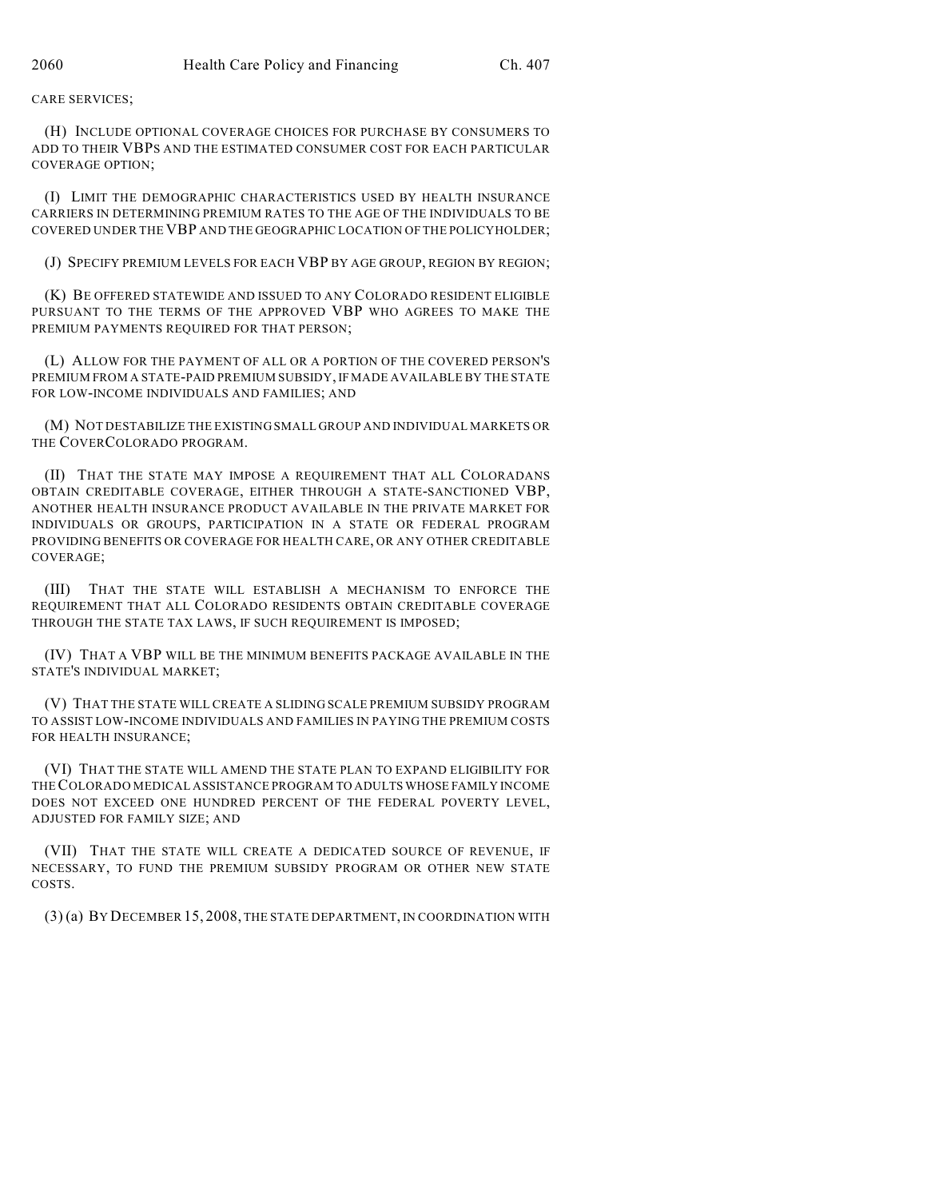CARE SERVICES;

(H) INCLUDE OPTIONAL COVERAGE CHOICES FOR PURCHASE BY CONSUMERS TO ADD TO THEIR VBPS AND THE ESTIMATED CONSUMER COST FOR EACH PARTICULAR COVERAGE OPTION;

(I) LIMIT THE DEMOGRAPHIC CHARACTERISTICS USED BY HEALTH INSURANCE CARRIERS IN DETERMINING PREMIUM RATES TO THE AGE OF THE INDIVIDUALS TO BE COVERED UNDER THE VBP AND THE GEOGRAPHIC LOCATION OF THE POLICYHOLDER;

(J) SPECIFY PREMIUM LEVELS FOR EACH VBP BY AGE GROUP, REGION BY REGION;

(K) BE OFFERED STATEWIDE AND ISSUED TO ANY COLORADO RESIDENT ELIGIBLE PURSUANT TO THE TERMS OF THE APPROVED VBP WHO AGREES TO MAKE THE PREMIUM PAYMENTS REQUIRED FOR THAT PERSON;

(L) ALLOW FOR THE PAYMENT OF ALL OR A PORTION OF THE COVERED PERSON'S PREMIUM FROM A STATE-PAID PREMIUM SUBSIDY, IF MADE AVAILABLE BY THE STATE FOR LOW-INCOME INDIVIDUALS AND FAMILIES; AND

(M) NOT DESTABILIZE THE EXISTING SMALL GROUP AND INDIVIDUAL MARKETS OR THE COVERCOLORADO PROGRAM.

(II) THAT THE STATE MAY IMPOSE A REQUIREMENT THAT ALL COLORADANS OBTAIN CREDITABLE COVERAGE, EITHER THROUGH A STATE-SANCTIONED VBP, ANOTHER HEALTH INSURANCE PRODUCT AVAILABLE IN THE PRIVATE MARKET FOR INDIVIDUALS OR GROUPS, PARTICIPATION IN A STATE OR FEDERAL PROGRAM PROVIDING BENEFITS OR COVERAGE FOR HEALTH CARE, OR ANY OTHER CREDITABLE COVERAGE;

(III) THAT THE STATE WILL ESTABLISH A MECHANISM TO ENFORCE THE REQUIREMENT THAT ALL COLORADO RESIDENTS OBTAIN CREDITABLE COVERAGE THROUGH THE STATE TAX LAWS, IF SUCH REQUIREMENT IS IMPOSED;

(IV) THAT A VBP WILL BE THE MINIMUM BENEFITS PACKAGE AVAILABLE IN THE STATE'S INDIVIDUAL MARKET;

(V) THAT THE STATE WILL CREATE A SLIDING SCALE PREMIUM SUBSIDY PROGRAM TO ASSIST LOW-INCOME INDIVIDUALS AND FAMILIES IN PAYING THE PREMIUM COSTS FOR HEALTH INSURANCE;

(VI) THAT THE STATE WILL AMEND THE STATE PLAN TO EXPAND ELIGIBILITY FOR THE COLORADO MEDICAL ASSISTANCE PROGRAM TO ADULTS WHOSE FAMILY INCOME DOES NOT EXCEED ONE HUNDRED PERCENT OF THE FEDERAL POVERTY LEVEL, ADJUSTED FOR FAMILY SIZE; AND

(VII) THAT THE STATE WILL CREATE A DEDICATED SOURCE OF REVENUE, IF NECESSARY, TO FUND THE PREMIUM SUBSIDY PROGRAM OR OTHER NEW STATE COSTS.

(3) (a) BY DECEMBER 15, 2008, THE STATE DEPARTMENT, IN COORDINATION WITH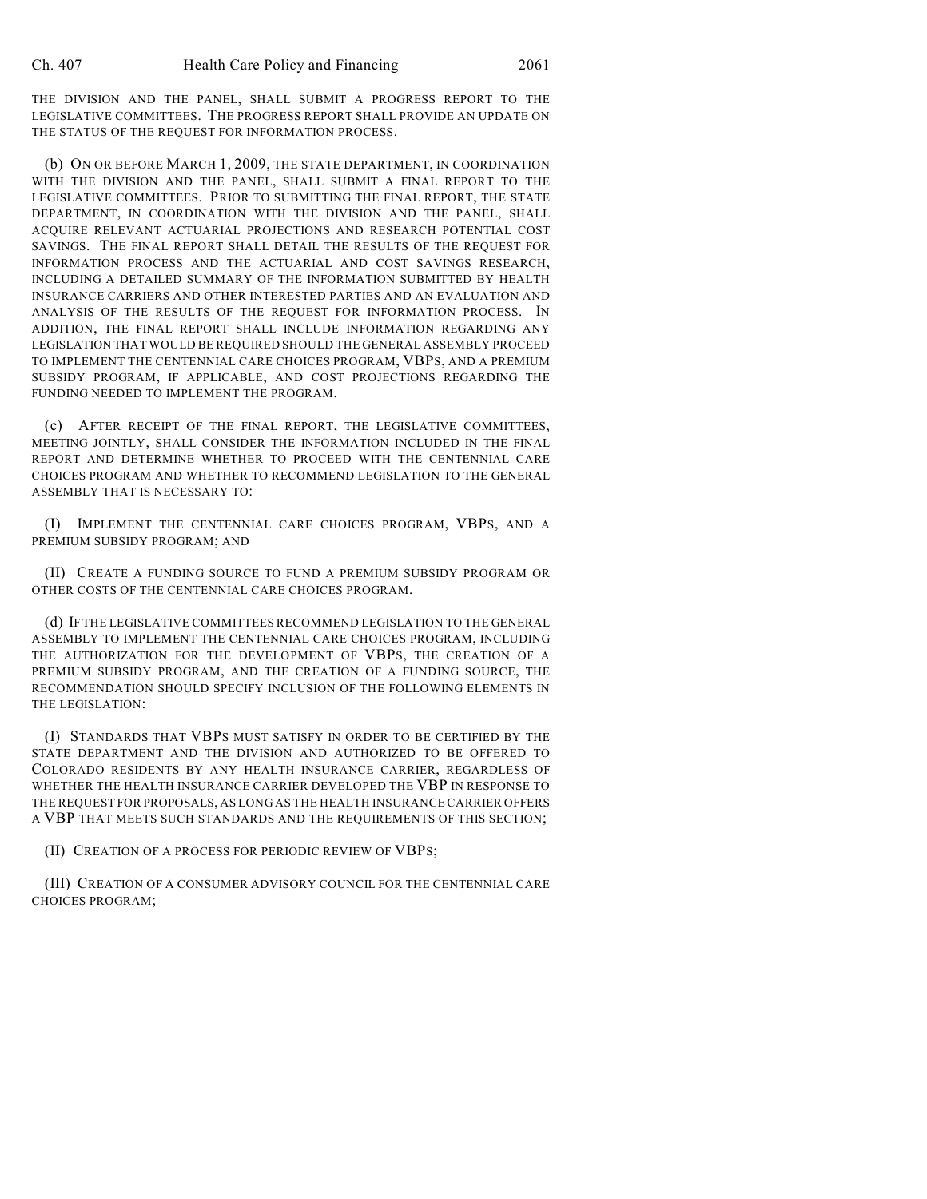THE DIVISION AND THE PANEL, SHALL SUBMIT A PROGRESS REPORT TO THE LEGISLATIVE COMMITTEES. THE PROGRESS REPORT SHALL PROVIDE AN UPDATE ON THE STATUS OF THE REQUEST FOR INFORMATION PROCESS.

(b) ON OR BEFORE MARCH 1, 2009, THE STATE DEPARTMENT, IN COORDINATION WITH THE DIVISION AND THE PANEL, SHALL SUBMIT A FINAL REPORT TO THE LEGISLATIVE COMMITTEES. PRIOR TO SUBMITTING THE FINAL REPORT, THE STATE DEPARTMENT, IN COORDINATION WITH THE DIVISION AND THE PANEL, SHALL ACQUIRE RELEVANT ACTUARIAL PROJECTIONS AND RESEARCH POTENTIAL COST SAVINGS. THE FINAL REPORT SHALL DETAIL THE RESULTS OF THE REQUEST FOR INFORMATION PROCESS AND THE ACTUARIAL AND COST SAVINGS RESEARCH, INCLUDING A DETAILED SUMMARY OF THE INFORMATION SUBMITTED BY HEALTH INSURANCE CARRIERS AND OTHER INTERESTED PARTIES AND AN EVALUATION AND ANALYSIS OF THE RESULTS OF THE REQUEST FOR INFORMATION PROCESS. IN ADDITION, THE FINAL REPORT SHALL INCLUDE INFORMATION REGARDING ANY LEGISLATION THAT WOULD BE REQUIRED SHOULD THE GENERAL ASSEMBLY PROCEED TO IMPLEMENT THE CENTENNIAL CARE CHOICES PROGRAM, VBPS, AND A PREMIUM SUBSIDY PROGRAM, IF APPLICABLE, AND COST PROJECTIONS REGARDING THE FUNDING NEEDED TO IMPLEMENT THE PROGRAM.

(c) AFTER RECEIPT OF THE FINAL REPORT, THE LEGISLATIVE COMMITTEES, MEETING JOINTLY, SHALL CONSIDER THE INFORMATION INCLUDED IN THE FINAL REPORT AND DETERMINE WHETHER TO PROCEED WITH THE CENTENNIAL CARE CHOICES PROGRAM AND WHETHER TO RECOMMEND LEGISLATION TO THE GENERAL ASSEMBLY THAT IS NECESSARY TO:

(I) IMPLEMENT THE CENTENNIAL CARE CHOICES PROGRAM, VBPS, AND A PREMIUM SUBSIDY PROGRAM; AND

(II) CREATE A FUNDING SOURCE TO FUND A PREMIUM SUBSIDY PROGRAM OR OTHER COSTS OF THE CENTENNIAL CARE CHOICES PROGRAM.

(d) IF THE LEGISLATIVE COMMITTEES RECOMMEND LEGISLATION TO THE GENERAL ASSEMBLY TO IMPLEMENT THE CENTENNIAL CARE CHOICES PROGRAM, INCLUDING THE AUTHORIZATION FOR THE DEVELOPMENT OF VBPS, THE CREATION OF A PREMIUM SUBSIDY PROGRAM, AND THE CREATION OF A FUNDING SOURCE, THE RECOMMENDATION SHOULD SPECIFY INCLUSION OF THE FOLLOWING ELEMENTS IN THE LEGISLATION:

(I) STANDARDS THAT VBPS MUST SATISFY IN ORDER TO BE CERTIFIED BY THE STATE DEPARTMENT AND THE DIVISION AND AUTHORIZED TO BE OFFERED TO COLORADO RESIDENTS BY ANY HEALTH INSURANCE CARRIER, REGARDLESS OF WHETHER THE HEALTH INSURANCE CARRIER DEVELOPED THE VBP IN RESPONSE TO THE REQUEST FOR PROPOSALS, AS LONG AS THE HEALTH INSURANCE CARRIER OFFERS A VBP THAT MEETS SUCH STANDARDS AND THE REQUIREMENTS OF THIS SECTION;

(II) CREATION OF A PROCESS FOR PERIODIC REVIEW OF VBPS;

(III) CREATION OF A CONSUMER ADVISORY COUNCIL FOR THE CENTENNIAL CARE CHOICES PROGRAM;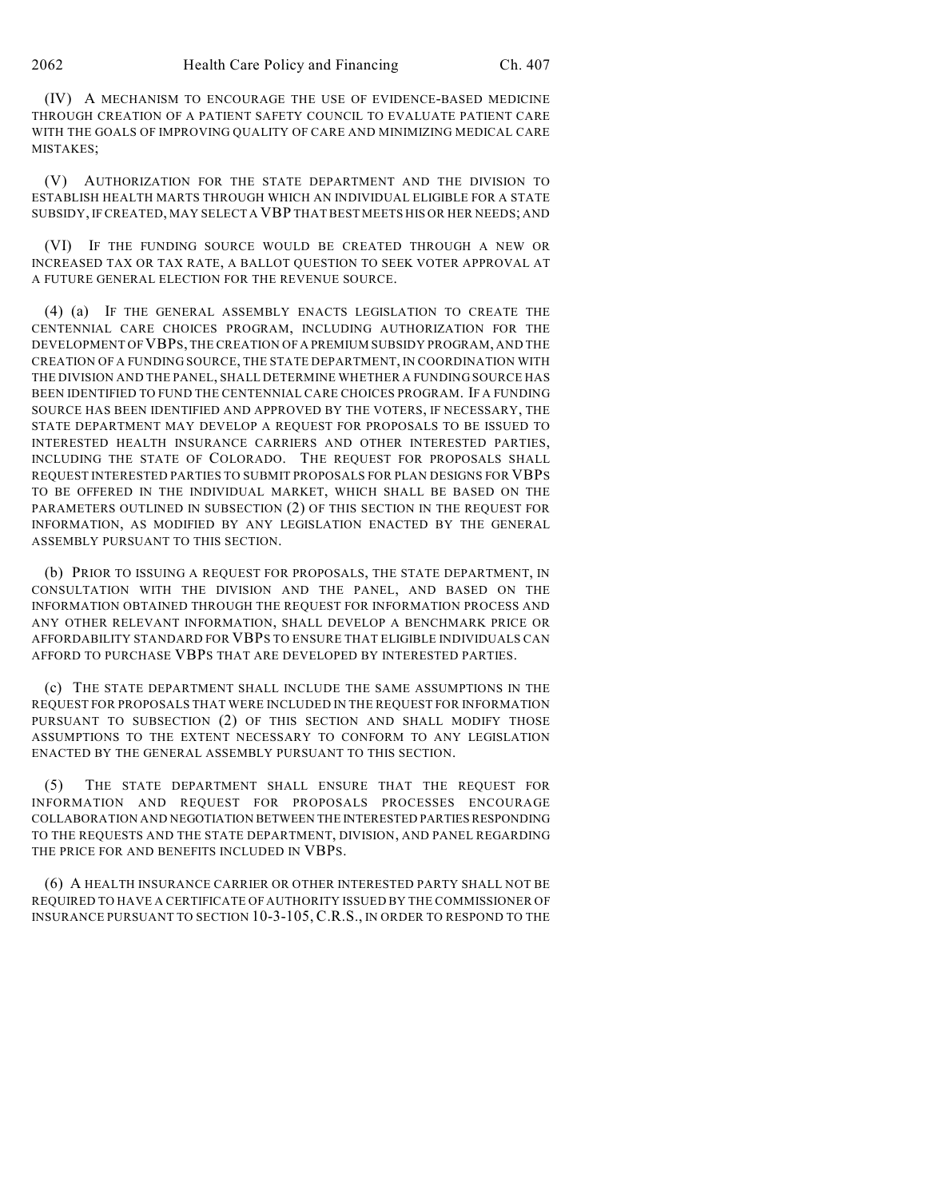(IV) A MECHANISM TO ENCOURAGE THE USE OF EVIDENCE-BASED MEDICINE THROUGH CREATION OF A PATIENT SAFETY COUNCIL TO EVALUATE PATIENT CARE WITH THE GOALS OF IMPROVING QUALITY OF CARE AND MINIMIZING MEDICAL CARE MISTAKES;

(V) AUTHORIZATION FOR THE STATE DEPARTMENT AND THE DIVISION TO ESTABLISH HEALTH MARTS THROUGH WHICH AN INDIVIDUAL ELIGIBLE FOR A STATE SUBSIDY, IF CREATED, MAY SELECT A VBP THAT BEST MEETS HIS OR HER NEEDS; AND

(VI) IF THE FUNDING SOURCE WOULD BE CREATED THROUGH A NEW OR INCREASED TAX OR TAX RATE, A BALLOT QUESTION TO SEEK VOTER APPROVAL AT A FUTURE GENERAL ELECTION FOR THE REVENUE SOURCE.

(4) (a) IF THE GENERAL ASSEMBLY ENACTS LEGISLATION TO CREATE THE CENTENNIAL CARE CHOICES PROGRAM, INCLUDING AUTHORIZATION FOR THE DEVELOPMENT OF VBPS, THE CREATION OF A PREMIUM SUBSIDY PROGRAM, AND THE CREATION OF A FUNDING SOURCE, THE STATE DEPARTMENT, IN COORDINATION WITH THE DIVISION AND THE PANEL, SHALL DETERMINE WHETHER A FUNDING SOURCE HAS BEEN IDENTIFIED TO FUND THE CENTENNIAL CARE CHOICES PROGRAM. IF A FUNDING SOURCE HAS BEEN IDENTIFIED AND APPROVED BY THE VOTERS, IF NECESSARY, THE STATE DEPARTMENT MAY DEVELOP A REQUEST FOR PROPOSALS TO BE ISSUED TO INTERESTED HEALTH INSURANCE CARRIERS AND OTHER INTERESTED PARTIES, INCLUDING THE STATE OF COLORADO. THE REQUEST FOR PROPOSALS SHALL REQUEST INTERESTED PARTIES TO SUBMIT PROPOSALS FOR PLAN DESIGNS FOR VBPS TO BE OFFERED IN THE INDIVIDUAL MARKET, WHICH SHALL BE BASED ON THE PARAMETERS OUTLINED IN SUBSECTION (2) OF THIS SECTION IN THE REQUEST FOR INFORMATION, AS MODIFIED BY ANY LEGISLATION ENACTED BY THE GENERAL ASSEMBLY PURSUANT TO THIS SECTION.

(b) PRIOR TO ISSUING A REQUEST FOR PROPOSALS, THE STATE DEPARTMENT, IN CONSULTATION WITH THE DIVISION AND THE PANEL, AND BASED ON THE INFORMATION OBTAINED THROUGH THE REQUEST FOR INFORMATION PROCESS AND ANY OTHER RELEVANT INFORMATION, SHALL DEVELOP A BENCHMARK PRICE OR AFFORDABILITY STANDARD FOR VBPS TO ENSURE THAT ELIGIBLE INDIVIDUALS CAN AFFORD TO PURCHASE VBPS THAT ARE DEVELOPED BY INTERESTED PARTIES.

(c) THE STATE DEPARTMENT SHALL INCLUDE THE SAME ASSUMPTIONS IN THE REQUEST FOR PROPOSALS THAT WERE INCLUDED IN THE REQUEST FOR INFORMATION PURSUANT TO SUBSECTION (2) OF THIS SECTION AND SHALL MODIFY THOSE ASSUMPTIONS TO THE EXTENT NECESSARY TO CONFORM TO ANY LEGISLATION ENACTED BY THE GENERAL ASSEMBLY PURSUANT TO THIS SECTION.

(5) THE STATE DEPARTMENT SHALL ENSURE THAT THE REQUEST FOR INFORMATION AND REQUEST FOR PROPOSALS PROCESSES ENCOURAGE COLLABORATION AND NEGOTIATION BETWEEN THE INTERESTED PARTIES RESPONDING TO THE REQUESTS AND THE STATE DEPARTMENT, DIVISION, AND PANEL REGARDING THE PRICE FOR AND BENEFITS INCLUDED IN VBPS.

(6) A HEALTH INSURANCE CARRIER OR OTHER INTERESTED PARTY SHALL NOT BE REQUIRED TO HAVE A CERTIFICATE OF AUTHORITY ISSUED BY THE COMMISSIONER OF INSURANCE PURSUANT TO SECTION 10-3-105, C.R.S., IN ORDER TO RESPOND TO THE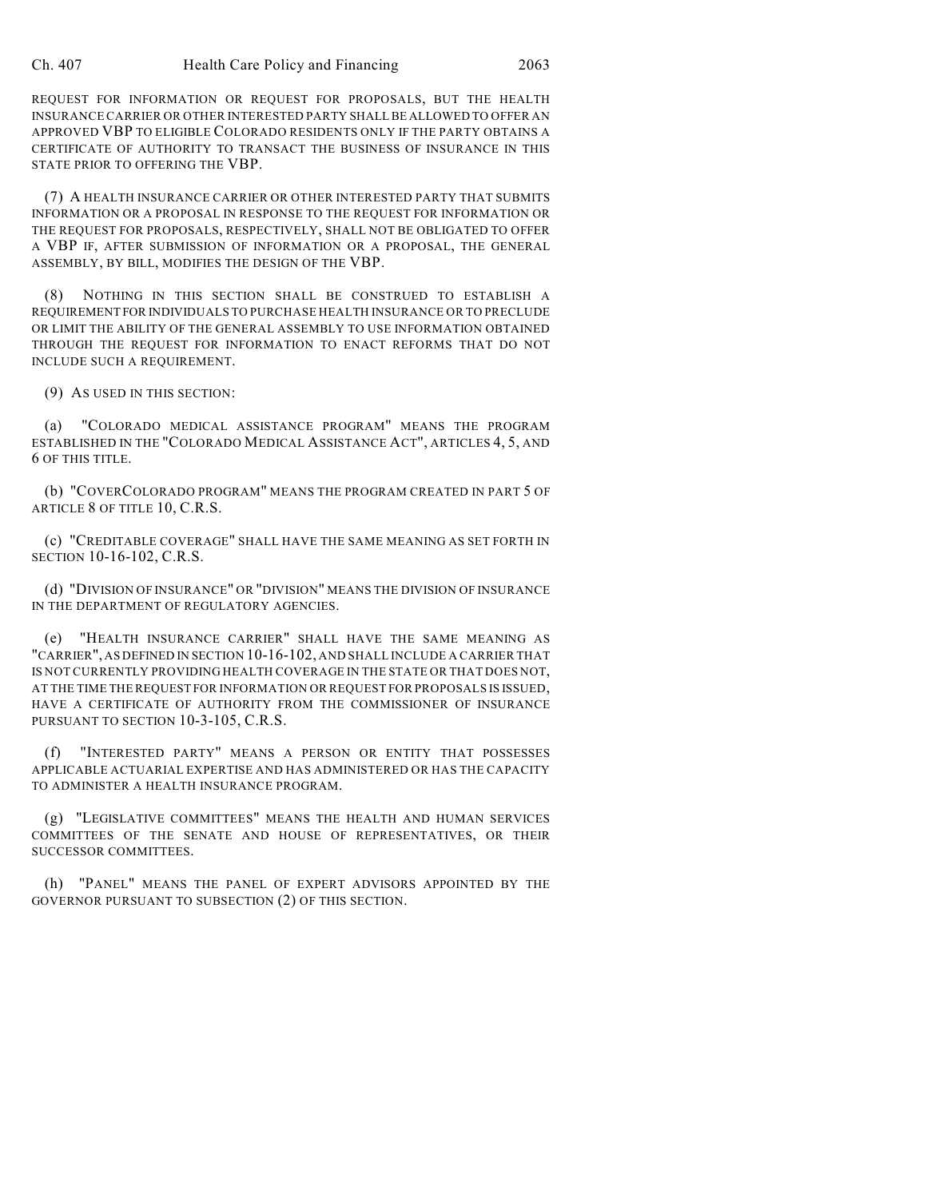REQUEST FOR INFORMATION OR REQUEST FOR PROPOSALS, BUT THE HEALTH INSURANCE CARRIER OR OTHER INTERESTED PARTY SHALL BE ALLOWED TO OFFER AN APPROVED VBP TO ELIGIBLE COLORADO RESIDENTS ONLY IF THE PARTY OBTAINS A CERTIFICATE OF AUTHORITY TO TRANSACT THE BUSINESS OF INSURANCE IN THIS STATE PRIOR TO OFFERING THE VBP.

(7) A HEALTH INSURANCE CARRIER OR OTHER INTERESTED PARTY THAT SUBMITS INFORMATION OR A PROPOSAL IN RESPONSE TO THE REQUEST FOR INFORMATION OR THE REQUEST FOR PROPOSALS, RESPECTIVELY, SHALL NOT BE OBLIGATED TO OFFER A VBP IF, AFTER SUBMISSION OF INFORMATION OR A PROPOSAL, THE GENERAL ASSEMBLY, BY BILL, MODIFIES THE DESIGN OF THE VBP.

(8) NOTHING IN THIS SECTION SHALL BE CONSTRUED TO ESTABLISH A REQUIREMENT FOR INDIVIDUALS TO PURCHASE HEALTH INSURANCE OR TO PRECLUDE OR LIMIT THE ABILITY OF THE GENERAL ASSEMBLY TO USE INFORMATION OBTAINED THROUGH THE REQUEST FOR INFORMATION TO ENACT REFORMS THAT DO NOT INCLUDE SUCH A REQUIREMENT.

(9) AS USED IN THIS SECTION:

(a) "COLORADO MEDICAL ASSISTANCE PROGRAM" MEANS THE PROGRAM ESTABLISHED IN THE "COLORADO MEDICAL ASSISTANCE ACT", ARTICLES 4, 5, AND 6 OF THIS TITLE.

(b) "COVERCOLORADO PROGRAM" MEANS THE PROGRAM CREATED IN PART 5 OF ARTICLE 8 OF TITLE 10, C.R.S.

(c) "CREDITABLE COVERAGE" SHALL HAVE THE SAME MEANING AS SET FORTH IN SECTION 10-16-102, C.R.S.

(d) "DIVISION OF INSURANCE" OR "DIVISION" MEANS THE DIVISION OF INSURANCE IN THE DEPARTMENT OF REGULATORY AGENCIES.

(e) "HEALTH INSURANCE CARRIER" SHALL HAVE THE SAME MEANING AS "CARRIER", AS DEFINED IN SECTION 10-16-102, AND SHALL INCLUDE A CARRIER THAT IS NOT CURRENTLY PROVIDING HEALTH COVERAGE IN THE STATE OR THAT DOES NOT, AT THE TIME THE REQUEST FOR INFORMATION OR REQUEST FOR PROPOSALS IS ISSUED, HAVE A CERTIFICATE OF AUTHORITY FROM THE COMMISSIONER OF INSURANCE PURSUANT TO SECTION 10-3-105, C.R.S.

(f) "INTERESTED PARTY" MEANS A PERSON OR ENTITY THAT POSSESSES APPLICABLE ACTUARIAL EXPERTISE AND HAS ADMINISTERED OR HAS THE CAPACITY TO ADMINISTER A HEALTH INSURANCE PROGRAM.

(g) "LEGISLATIVE COMMITTEES" MEANS THE HEALTH AND HUMAN SERVICES COMMITTEES OF THE SENATE AND HOUSE OF REPRESENTATIVES, OR THEIR SUCCESSOR COMMITTEES.

(h) "PANEL" MEANS THE PANEL OF EXPERT ADVISORS APPOINTED BY THE GOVERNOR PURSUANT TO SUBSECTION (2) OF THIS SECTION.